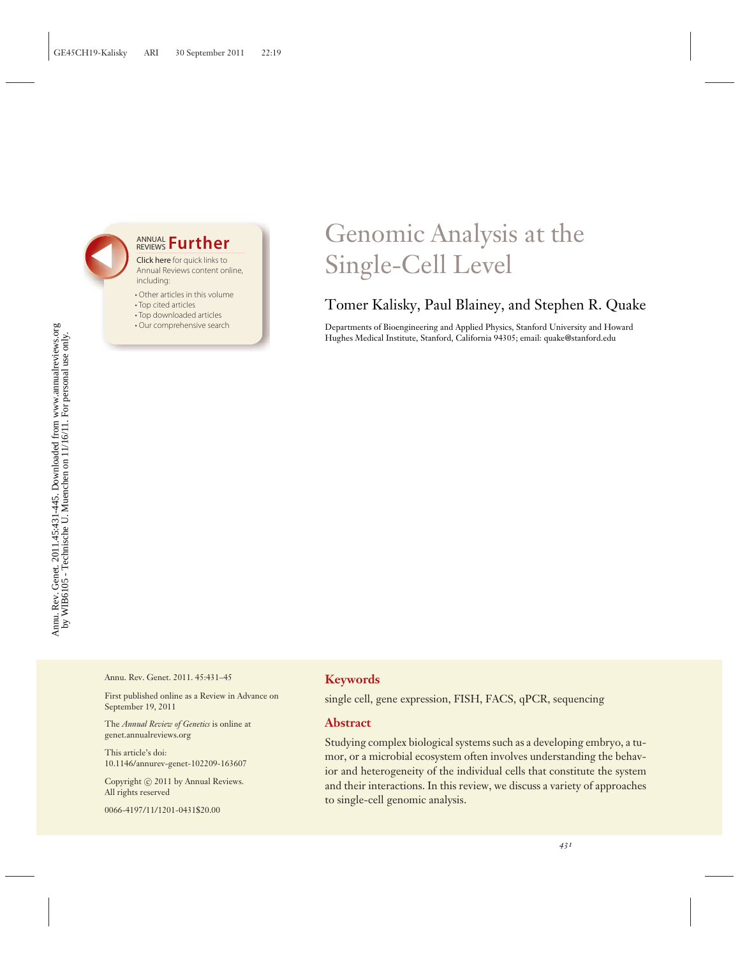## **ANNUAL Further**

Click here for quick links to Annual Reviews content online, including:

- Other articles in this volume
- Top cited articles
- Top downloaded articles
- Our comprehensive search

# Genomic Analysis at the Single-Cell Level

### Tomer Kalisky, Paul Blainey, and Stephen R. Quake

Departments of Bioengineering and Applied Physics, Stanford University and Howard Hughes Medical Institute, Stanford, California 94305; email: quake@stanford.edu

Annu. Rev. Genet. 2011. 45:431–45

First published online as a Review in Advance on September 19, 2011

The *Annual Review of Genetics* is online at genet.annualreviews.org

This article's doi: 10.1146/annurev-genet-102209-163607

Copyright © 2011 by Annual Reviews. All rights reserved

0066-4197/11/1201-0431\$20.00

#### **Keywords**

single cell, gene expression, FISH, FACS, qPCR, sequencing

#### **Abstract**

Studying complex biological systems such as a developing embryo, a tumor, or a microbial ecosystem often involves understanding the behavior and heterogeneity of the individual cells that constitute the system and their interactions. In this review, we discuss a variety of approaches to single-cell genomic analysis.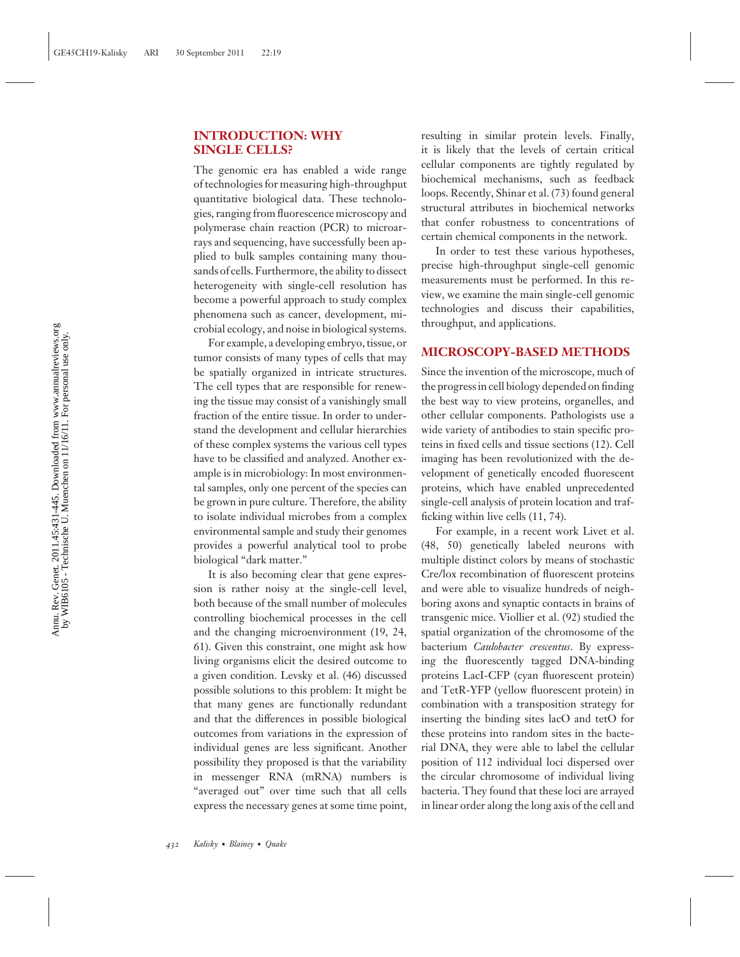#### **INTRODUCTION: WHY SINGLE CELLS?**

The genomic era has enabled a wide range of technologies for measuring high-throughput quantitative biological data. These technologies, ranging from fluorescence microscopy and polymerase chain reaction (PCR) to microarrays and sequencing, have successfully been applied to bulk samples containing many thousands of cells. Furthermore, the ability to dissect heterogeneity with single-cell resolution has become a powerful approach to study complex phenomena such as cancer, development, microbial ecology, and noise in biological systems.

For example, a developing embryo, tissue, or tumor consists of many types of cells that may be spatially organized in intricate structures. The cell types that are responsible for renewing the tissue may consist of a vanishingly small fraction of the entire tissue. In order to understand the development and cellular hierarchies of these complex systems the various cell types have to be classified and analyzed. Another example is in microbiology: In most environmental samples, only one percent of the species can be grown in pure culture. Therefore, the ability to isolate individual microbes from a complex environmental sample and study their genomes provides a powerful analytical tool to probe biological "dark matter."

It is also becoming clear that gene expression is rather noisy at the single-cell level, both because of the small number of molecules controlling biochemical processes in the cell and the changing microenvironment (19, 24, 61). Given this constraint, one might ask how living organisms elicit the desired outcome to a given condition. Levsky et al. (46) discussed possible solutions to this problem: It might be that many genes are functionally redundant and that the differences in possible biological outcomes from variations in the expression of individual genes are less significant. Another possibility they proposed is that the variability in messenger RNA (mRNA) numbers is "averaged out" over time such that all cells express the necessary genes at some time point,

resulting in similar protein levels. Finally, it is likely that the levels of certain critical cellular components are tightly regulated by biochemical mechanisms, such as feedback loops. Recently, Shinar et al. (73) found general structural attributes in biochemical networks that confer robustness to concentrations of certain chemical components in the network.

In order to test these various hypotheses, precise high-throughput single-cell genomic measurements must be performed. In this review, we examine the main single-cell genomic technologies and discuss their capabilities, throughput, and applications.

#### **MICROSCOPY-BASED METHODS**

Since the invention of the microscope, much of the progress in cell biology depended on finding the best way to view proteins, organelles, and other cellular components. Pathologists use a wide variety of antibodies to stain specific proteins in fixed cells and tissue sections (12). Cell imaging has been revolutionized with the development of genetically encoded fluorescent proteins, which have enabled unprecedented single-cell analysis of protein location and trafficking within live cells (11, 74).

For example, in a recent work Livet et al. (48, 50) genetically labeled neurons with multiple distinct colors by means of stochastic Cre/lox recombination of fluorescent proteins and were able to visualize hundreds of neighboring axons and synaptic contacts in brains of transgenic mice. Viollier et al. (92) studied the spatial organization of the chromosome of the bacterium *Caulobacter crescentus*. By expressing the fluorescently tagged DNA-binding proteins LacI-CFP (cyan fluorescent protein) and TetR-YFP (yellow fluorescent protein) in combination with a transposition strategy for inserting the binding sites lacO and tetO for these proteins into random sites in the bacterial DNA, they were able to label the cellular position of 112 individual loci dispersed over the circular chromosome of individual living bacteria. They found that these loci are arrayed in linear order along the long axis of the cell and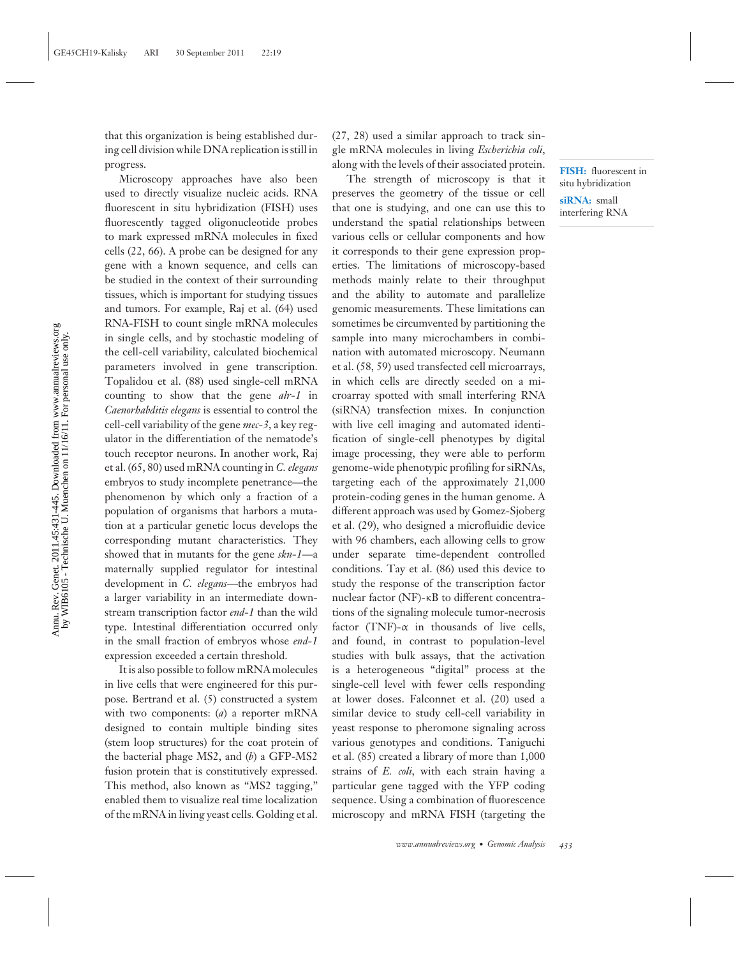that this organization is being established during cell division while DNA replication is still in progress.

Microscopy approaches have also been used to directly visualize nucleic acids. RNA fluorescent in situ hybridization (FISH) uses fluorescently tagged oligonucleotide probes to mark expressed mRNA molecules in fixed cells (22, 66). A probe can be designed for any gene with a known sequence, and cells can be studied in the context of their surrounding tissues, which is important for studying tissues and tumors. For example, Raj et al. (64) used RNA-FISH to count single mRNA molecules in single cells, and by stochastic modeling of the cell-cell variability, calculated biochemical parameters involved in gene transcription. Topalidou et al. (88) used single-cell mRNA counting to show that the gene *alr-1* in *Caenorhabditis elegans* is essential to control the cell-cell variability of the gene *mec-3*, a key regulator in the differentiation of the nematode's touch receptor neurons. In another work, Raj et al. (65, 80) used mRNA counting in *C. elegans* embryos to study incomplete penetrance—the phenomenon by which only a fraction of a population of organisms that harbors a mutation at a particular genetic locus develops the corresponding mutant characteristics. They showed that in mutants for the gene *skn-1*—a maternally supplied regulator for intestinal development in *C. elegans*—the embryos had a larger variability in an intermediate downstream transcription factor *end-1* than the wild type. Intestinal differentiation occurred only in the small fraction of embryos whose *end-1* expression exceeded a certain threshold.

It is also possible to follow mRNA molecules in live cells that were engineered for this purpose. Bertrand et al. (5) constructed a system with two components: (*a*) a reporter mRNA designed to contain multiple binding sites (stem loop structures) for the coat protein of the bacterial phage MS2, and (*b*) a GFP-MS2 fusion protein that is constitutively expressed. This method, also known as "MS2 tagging," enabled them to visualize real time localization of the mRNA in living yeast cells. Golding et al.

(27, 28) used a similar approach to track single mRNA molecules in living *Escherichia coli*, along with the levels of their associated protein.

The strength of microscopy is that it preserves the geometry of the tissue or cell that one is studying, and one can use this to understand the spatial relationships between various cells or cellular components and how it corresponds to their gene expression properties. The limitations of microscopy-based methods mainly relate to their throughput and the ability to automate and parallelize genomic measurements. These limitations can sometimes be circumvented by partitioning the sample into many microchambers in combination with automated microscopy. Neumann et al. (58, 59) used transfected cell microarrays, in which cells are directly seeded on a microarray spotted with small interfering RNA (siRNA) transfection mixes. In conjunction with live cell imaging and automated identification of single-cell phenotypes by digital image processing, they were able to perform genome-wide phenotypic profiling for siRNAs, targeting each of the approximately 21,000 protein-coding genes in the human genome. A different approach was used by Gomez-Sjoberg et al. (29), who designed a microfluidic device with 96 chambers, each allowing cells to grow under separate time-dependent controlled conditions. Tay et al. (86) used this device to study the response of the transcription factor nuclear factor (NF)-κB to different concentrations of the signaling molecule tumor-necrosis factor (TNF)- $\alpha$  in thousands of live cells, and found, in contrast to population-level studies with bulk assays, that the activation is a heterogeneous "digital" process at the single-cell level with fewer cells responding at lower doses. Falconnet et al. (20) used a similar device to study cell-cell variability in yeast response to pheromone signaling across various genotypes and conditions. Taniguchi et al. (85) created a library of more than 1,000 strains of *E. coli*, with each strain having a particular gene tagged with the YFP coding sequence. Using a combination of fluorescence microscopy and mRNA FISH (targeting the

**FISH:** fluorescent in situ hybridization

**siRNA:** small interfering RNA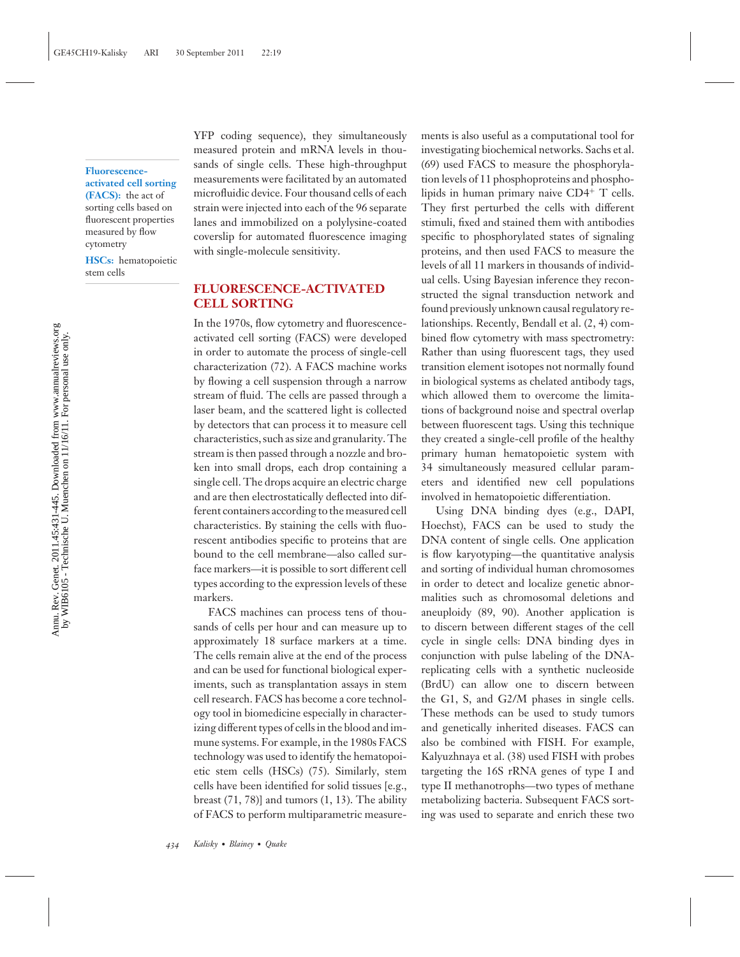#### **Fluorescenceactivated cell sorting (FACS):** the act of sorting cells based on fluorescent properties measured by flow

**HSCs:** hematopoietic stem cells

cytometry

YFP coding sequence), they simultaneously measured protein and mRNA levels in thousands of single cells. These high-throughput measurements were facilitated by an automated microfluidic device. Four thousand cells of each strain were injected into each of the 96 separate lanes and immobilized on a polylysine-coated coverslip for automated fluorescence imaging with single-molecule sensitivity.

#### **FLUORESCENCE-ACTIVATED CELL SORTING**

In the 1970s, flow cytometry and fluorescenceactivated cell sorting (FACS) were developed in order to automate the process of single-cell characterization (72). A FACS machine works by flowing a cell suspension through a narrow stream of fluid. The cells are passed through a laser beam, and the scattered light is collected by detectors that can process it to measure cell characteristics, such as size and granularity. The stream is then passed through a nozzle and broken into small drops, each drop containing a single cell. The drops acquire an electric charge and are then electrostatically deflected into different containers according to the measured cell characteristics. By staining the cells with fluorescent antibodies specific to proteins that are bound to the cell membrane—also called surface markers—it is possible to sort different cell types according to the expression levels of these markers.

FACS machines can process tens of thousands of cells per hour and can measure up to approximately 18 surface markers at a time. The cells remain alive at the end of the process and can be used for functional biological experiments, such as transplantation assays in stem cell research. FACS has become a core technology tool in biomedicine especially in characterizing different types of cells in the blood and immune systems. For example, in the 1980s FACS technology was used to identify the hematopoietic stem cells (HSCs) (75). Similarly, stem cells have been identified for solid tissues [e.g., breast  $(71, 78)$ ] and tumors  $(1, 13)$ . The ability of FACS to perform multiparametric measurements is also useful as a computational tool for investigating biochemical networks. Sachs et al. (69) used FACS to measure the phosphorylation levels of 11 phosphoproteins and phospholipids in human primary naive CD4<sup>+</sup> T cells. They first perturbed the cells with different stimuli, fixed and stained them with antibodies specific to phosphorylated states of signaling proteins, and then used FACS to measure the levels of all 11 markers in thousands of individual cells. Using Bayesian inference they reconstructed the signal transduction network and found previously unknown causal regulatory relationships. Recently, Bendall et al. (2, 4) combined flow cytometry with mass spectrometry: Rather than using fluorescent tags, they used transition element isotopes not normally found in biological systems as chelated antibody tags, which allowed them to overcome the limitations of background noise and spectral overlap between fluorescent tags. Using this technique they created a single-cell profile of the healthy primary human hematopoietic system with 34 simultaneously measured cellular parameters and identified new cell populations involved in hematopoietic differentiation.

Using DNA binding dyes (e.g., DAPI, Hoechst), FACS can be used to study the DNA content of single cells. One application is flow karyotyping—the quantitative analysis and sorting of individual human chromosomes in order to detect and localize genetic abnormalities such as chromosomal deletions and aneuploidy (89, 90). Another application is to discern between different stages of the cell cycle in single cells: DNA binding dyes in conjunction with pulse labeling of the DNAreplicating cells with a synthetic nucleoside (BrdU) can allow one to discern between the G1, S, and G2/M phases in single cells. These methods can be used to study tumors and genetically inherited diseases. FACS can also be combined with FISH. For example, Kalyuzhnaya et al. (38) used FISH with probes targeting the 16S rRNA genes of type I and type II methanotrophs—two types of methane metabolizing bacteria. Subsequent FACS sorting was used to separate and enrich these two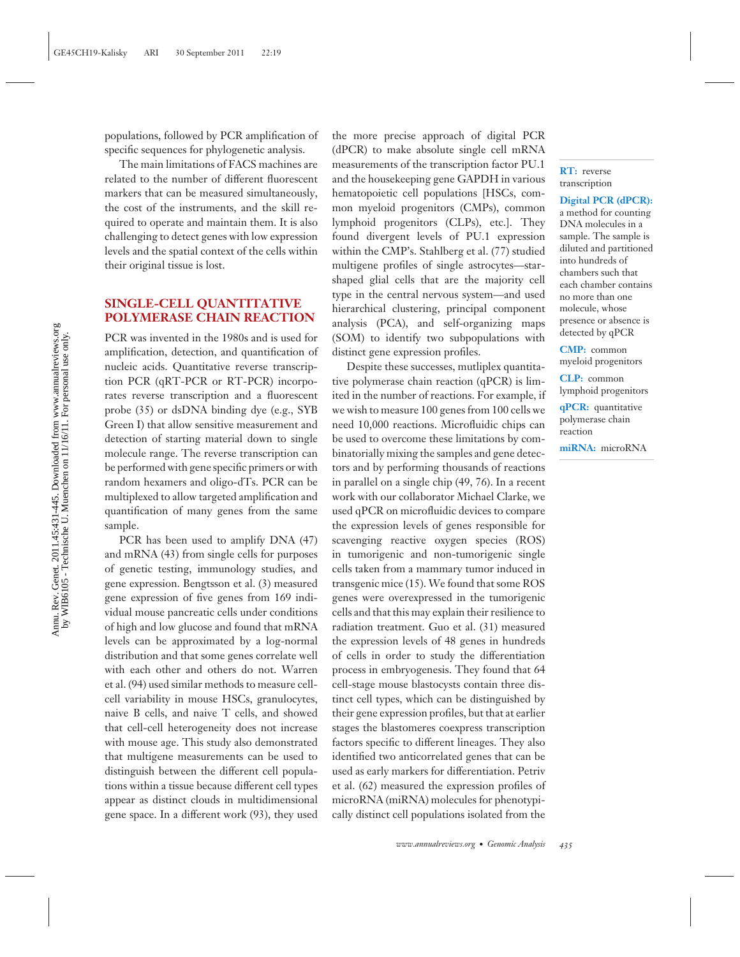populations, followed by PCR amplification of specific sequences for phylogenetic analysis.

The main limitations of FACS machines are related to the number of different fluorescent markers that can be measured simultaneously, the cost of the instruments, and the skill required to operate and maintain them. It is also challenging to detect genes with low expression levels and the spatial context of the cells within their original tissue is lost.

#### **SINGLE-CELL QUANTITATIVE POLYMERASE CHAIN REACTION**

PCR was invented in the 1980s and is used for amplification, detection, and quantification of nucleic acids. Quantitative reverse transcription PCR (qRT-PCR or RT-PCR) incorporates reverse transcription and a fluorescent probe (35) or dsDNA binding dye (e.g., SYB Green I) that allow sensitive measurement and detection of starting material down to single molecule range. The reverse transcription can be performed with gene specific primers or with random hexamers and oligo-dTs. PCR can be multiplexed to allow targeted amplification and quantification of many genes from the same sample.

PCR has been used to amplify DNA (47) and mRNA (43) from single cells for purposes of genetic testing, immunology studies, and gene expression. Bengtsson et al. (3) measured gene expression of five genes from 169 individual mouse pancreatic cells under conditions of high and low glucose and found that mRNA levels can be approximated by a log-normal distribution and that some genes correlate well with each other and others do not. Warren et al. (94) used similar methods to measure cellcell variability in mouse HSCs, granulocytes, naive B cells, and naive T cells, and showed that cell-cell heterogeneity does not increase with mouse age. This study also demonstrated that multigene measurements can be used to distinguish between the different cell populations within a tissue because different cell types appear as distinct clouds in multidimensional gene space. In a different work (93), they used

the more precise approach of digital PCR (dPCR) to make absolute single cell mRNA measurements of the transcription factor PU.1 and the housekeeping gene GAPDH in various hematopoietic cell populations [HSCs, common myeloid progenitors (CMPs), common lymphoid progenitors (CLPs), etc.]. They found divergent levels of PU.1 expression within the CMP's. Stahlberg et al. (77) studied multigene profiles of single astrocytes—starshaped glial cells that are the majority cell type in the central nervous system—and used hierarchical clustering, principal component analysis (PCA), and self-organizing maps (SOM) to identify two subpopulations with distinct gene expression profiles.

Despite these successes, mutliplex quantitative polymerase chain reaction (qPCR) is limited in the number of reactions. For example, if we wish to measure 100 genes from 100 cells we need 10,000 reactions. Microfluidic chips can be used to overcome these limitations by combinatorially mixing the samples and gene detectors and by performing thousands of reactions in parallel on a single chip (49, 76). In a recent work with our collaborator Michael Clarke, we used qPCR on microfluidic devices to compare the expression levels of genes responsible for scavenging reactive oxygen species (ROS) in tumorigenic and non-tumorigenic single cells taken from a mammary tumor induced in transgenic mice (15). We found that some ROS genes were overexpressed in the tumorigenic cells and that this may explain their resilience to radiation treatment. Guo et al. (31) measured the expression levels of 48 genes in hundreds of cells in order to study the differentiation process in embryogenesis. They found that 64 cell-stage mouse blastocysts contain three distinct cell types, which can be distinguished by their gene expression profiles, but that at earlier stages the blastomeres coexpress transcription factors specific to different lineages. They also identified two anticorrelated genes that can be used as early markers for differentiation. Petriv et al. (62) measured the expression profiles of microRNA (miRNA) molecules for phenotypically distinct cell populations isolated from the

**RT:** reverse transcription

#### **Digital PCR (dPCR):**

a method for counting DNA molecules in a sample. The sample is diluted and partitioned into hundreds of chambers such that each chamber contains no more than one molecule, whose presence or absence is detected by qPCR

**CMP:** common myeloid progenitors

**CLP:** common lymphoid progenitors

**qPCR:** quantitative polymerase chain reaction

**miRNA:** microRNA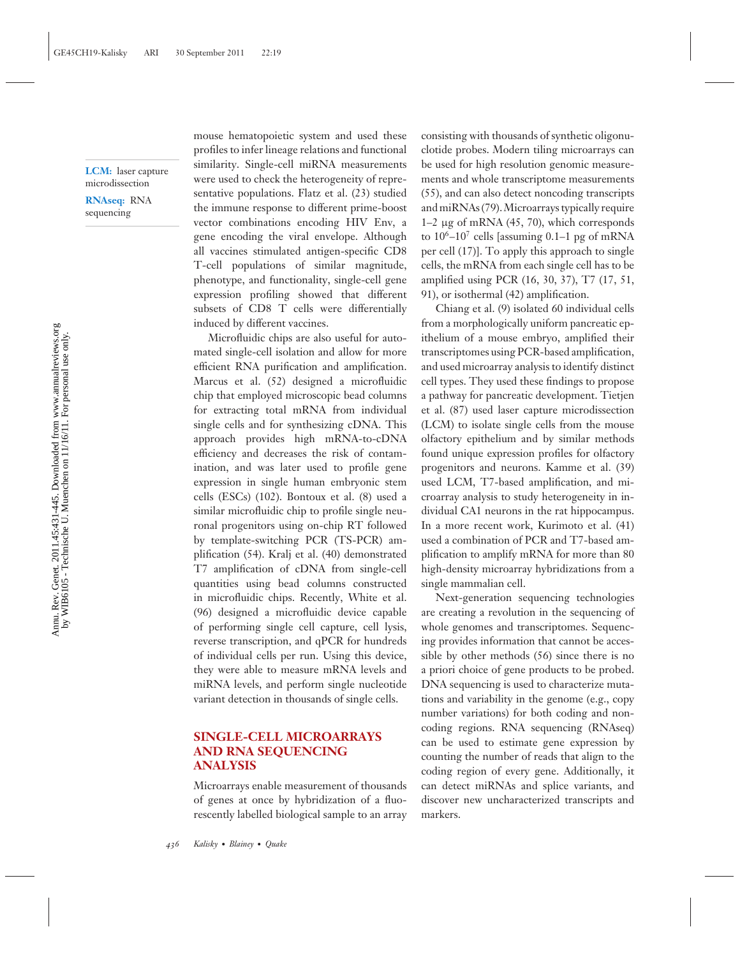**LCM:** laser capture microdissection

**RNAseq:** RNA sequencing

mouse hematopoietic system and used these profiles to infer lineage relations and functional similarity. Single-cell miRNA measurements were used to check the heterogeneity of representative populations. Flatz et al. (23) studied the immune response to different prime-boost vector combinations encoding HIV Env, a gene encoding the viral envelope. Although all vaccines stimulated antigen-specific CD8 T-cell populations of similar magnitude, phenotype, and functionality, single-cell gene expression profiling showed that different subsets of CD8 T cells were differentially induced by different vaccines.

Microfluidic chips are also useful for automated single-cell isolation and allow for more efficient RNA purification and amplification. Marcus et al. (52) designed a microfluidic chip that employed microscopic bead columns for extracting total mRNA from individual single cells and for synthesizing cDNA. This approach provides high mRNA-to-cDNA efficiency and decreases the risk of contamination, and was later used to profile gene expression in single human embryonic stem cells (ESCs) (102). Bontoux et al. (8) used a similar microfluidic chip to profile single neuronal progenitors using on-chip RT followed by template-switching PCR (TS-PCR) amplification (54). Kralj et al. (40) demonstrated T7 amplification of cDNA from single-cell quantities using bead columns constructed in microfluidic chips. Recently, White et al. (96) designed a microfluidic device capable of performing single cell capture, cell lysis, reverse transcription, and qPCR for hundreds of individual cells per run. Using this device, they were able to measure mRNA levels and miRNA levels, and perform single nucleotide variant detection in thousands of single cells.

#### **SINGLE-CELL MICROARRAYS AND RNA SEQUENCING ANALYSIS**

Microarrays enable measurement of thousands of genes at once by hybridization of a fluorescently labelled biological sample to an array

consisting with thousands of synthetic oligonuclotide probes. Modern tiling microarrays can be used for high resolution genomic measurements and whole transcriptome measurements (55), and can also detect noncoding transcripts and miRNAs (79).Microarrays typically require 1–2 μg of mRNA (45, 70), which corresponds to  $10^6$ – $10^7$  cells [assuming 0.1–1 pg of mRNA per cell (17)]. To apply this approach to single cells, the mRNA from each single cell has to be amplified using PCR (16, 30, 37), T7 (17, 51, 91), or isothermal (42) amplification.

Chiang et al. (9) isolated 60 individual cells from a morphologically uniform pancreatic epithelium of a mouse embryo, amplified their transcriptomes using PCR-based amplification, and used microarray analysis to identify distinct cell types. They used these findings to propose a pathway for pancreatic development. Tietjen et al. (87) used laser capture microdissection (LCM) to isolate single cells from the mouse olfactory epithelium and by similar methods found unique expression profiles for olfactory progenitors and neurons. Kamme et al. (39) used LCM, T7-based amplification, and microarray analysis to study heterogeneity in individual CA1 neurons in the rat hippocampus. In a more recent work, Kurimoto et al. (41) used a combination of PCR and T7-based amplification to amplify mRNA for more than 80 high-density microarray hybridizations from a single mammalian cell.

Next-generation sequencing technologies are creating a revolution in the sequencing of whole genomes and transcriptomes. Sequencing provides information that cannot be accessible by other methods (56) since there is no a priori choice of gene products to be probed. DNA sequencing is used to characterize mutations and variability in the genome (e.g., copy number variations) for both coding and noncoding regions. RNA sequencing (RNAseq) can be used to estimate gene expression by counting the number of reads that align to the coding region of every gene. Additionally, it can detect miRNAs and splice variants, and discover new uncharacterized transcripts and markers.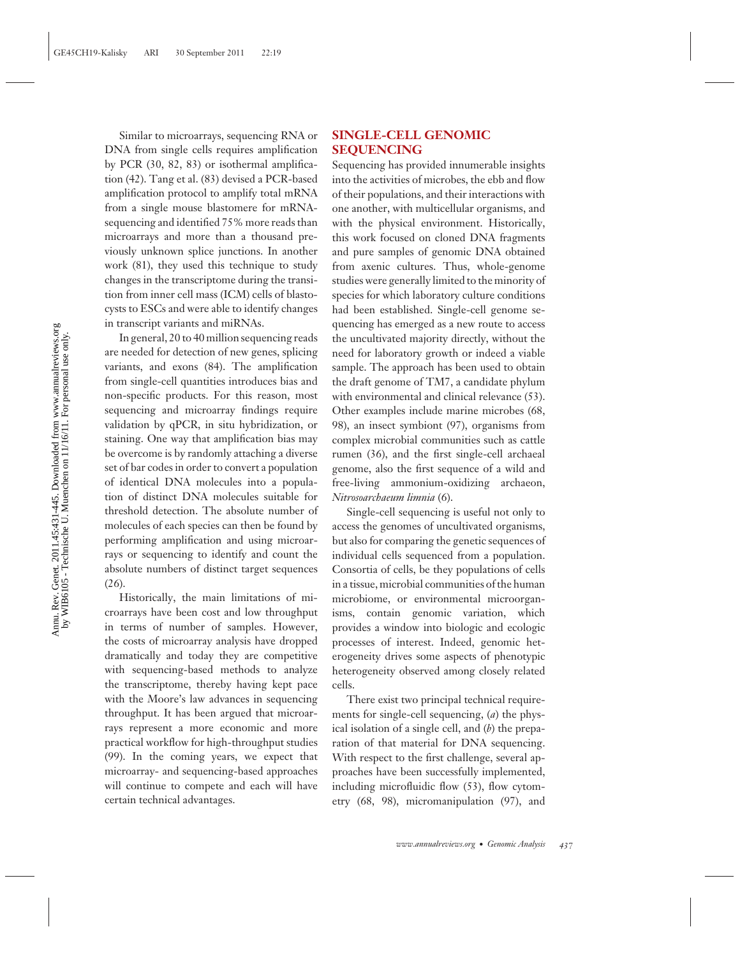Similar to microarrays, sequencing RNA or DNA from single cells requires amplification by PCR (30, 82, 83) or isothermal amplification (42). Tang et al. (83) devised a PCR-based amplification protocol to amplify total mRNA from a single mouse blastomere for mRNAsequencing and identified 75% more reads than microarrays and more than a thousand previously unknown splice junctions. In another work (81), they used this technique to study changes in the transcriptome during the transition from inner cell mass (ICM) cells of blastocysts to ESCs and were able to identify changes in transcript variants and miRNAs.

In general, 20 to 40 million sequencing reads are needed for detection of new genes, splicing variants, and exons (84). The amplification from single-cell quantities introduces bias and non-specific products. For this reason, most sequencing and microarray findings require validation by qPCR, in situ hybridization, or staining. One way that amplification bias may be overcome is by randomly attaching a diverse set of bar codes in order to convert a population of identical DNA molecules into a population of distinct DNA molecules suitable for threshold detection. The absolute number of molecules of each species can then be found by performing amplification and using microarrays or sequencing to identify and count the absolute numbers of distinct target sequences (26).

Historically, the main limitations of microarrays have been cost and low throughput in terms of number of samples. However, the costs of microarray analysis have dropped dramatically and today they are competitive with sequencing-based methods to analyze the transcriptome, thereby having kept pace with the Moore's law advances in sequencing throughput. It has been argued that microarrays represent a more economic and more practical workflow for high-throughput studies (99). In the coming years, we expect that microarray- and sequencing-based approaches will continue to compete and each will have certain technical advantages.

#### **SINGLE-CELL GENOMIC SEQUENCING**

Sequencing has provided innumerable insights into the activities of microbes, the ebb and flow of their populations, and their interactions with one another, with multicellular organisms, and with the physical environment. Historically, this work focused on cloned DNA fragments and pure samples of genomic DNA obtained from axenic cultures. Thus, whole-genome studies were generally limited to the minority of species for which laboratory culture conditions had been established. Single-cell genome sequencing has emerged as a new route to access the uncultivated majority directly, without the need for laboratory growth or indeed a viable sample. The approach has been used to obtain the draft genome of TM7, a candidate phylum with environmental and clinical relevance (53). Other examples include marine microbes (68, 98), an insect symbiont (97), organisms from complex microbial communities such as cattle rumen (36), and the first single-cell archaeal genome, also the first sequence of a wild and free-living ammonium-oxidizing archaeon, *Nitrosoarchaeum limnia* (6).

Single-cell sequencing is useful not only to access the genomes of uncultivated organisms, but also for comparing the genetic sequences of individual cells sequenced from a population. Consortia of cells, be they populations of cells in a tissue, microbial communities of the human microbiome, or environmental microorganisms, contain genomic variation, which provides a window into biologic and ecologic processes of interest. Indeed, genomic heterogeneity drives some aspects of phenotypic heterogeneity observed among closely related cells.

There exist two principal technical requirements for single-cell sequencing, (*a*) the physical isolation of a single cell, and (*b*) the preparation of that material for DNA sequencing. With respect to the first challenge, several approaches have been successfully implemented, including microfluidic flow (53), flow cytometry (68, 98), micromanipulation (97), and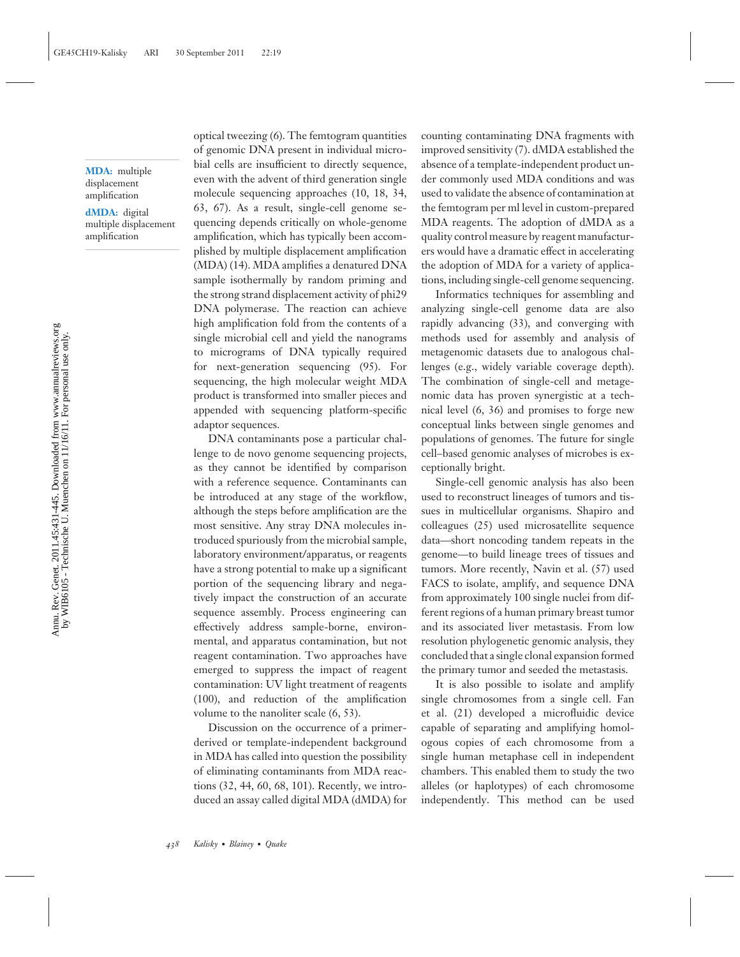**MDA:** multiple displacement amplification

**dMDA:** digital multiple displacement amplification

optical tweezing (6). The femtogram quantities of genomic DNA present in individual microbial cells are insufficient to directly sequence, even with the advent of third generation single molecule sequencing approaches (10, 18, 34, 63, 67). As a result, single-cell genome sequencing depends critically on whole-genome amplification, which has typically been accomplished by multiple displacement amplification (MDA) (14). MDA amplifies a denatured DNA sample isothermally by random priming and the strong strand displacement activity of phi29 DNA polymerase. The reaction can achieve high amplification fold from the contents of a single microbial cell and yield the nanograms to micrograms of DNA typically required for next-generation sequencing (95). For sequencing, the high molecular weight MDA product is transformed into smaller pieces and appended with sequencing platform-specific adaptor sequences.

DNA contaminants pose a particular challenge to de novo genome sequencing projects, as they cannot be identified by comparison with a reference sequence. Contaminants can be introduced at any stage of the workflow, although the steps before amplification are the most sensitive. Any stray DNA molecules introduced spuriously from the microbial sample, laboratory environment/apparatus, or reagents have a strong potential to make up a significant portion of the sequencing library and negatively impact the construction of an accurate sequence assembly. Process engineering can effectively address sample-borne, environmental, and apparatus contamination, but not reagent contamination. Two approaches have emerged to suppress the impact of reagent contamination: UV light treatment of reagents (100), and reduction of the amplification volume to the nanoliter scale (6, 53).

Discussion on the occurrence of a primerderived or template-independent background in MDA has called into question the possibility of eliminating contaminants from MDA reactions (32, 44, 60, 68, 101). Recently, we introduced an assay called digital MDA (dMDA) for counting contaminating DNA fragments with improved sensitivity (7). dMDA established the absence of a template-independent product under commonly used MDA conditions and was used to validate the absence of contamination at the femtogram per ml level in custom-prepared MDA reagents. The adoption of dMDA as a quality control measure by reagent manufacturers would have a dramatic effect in accelerating the adoption of MDA for a variety of applications, including single-cell genome sequencing.

Informatics techniques for assembling and analyzing single-cell genome data are also rapidly advancing (33), and converging with methods used for assembly and analysis of metagenomic datasets due to analogous challenges (e.g., widely variable coverage depth). The combination of single-cell and metagenomic data has proven synergistic at a technical level (6, 36) and promises to forge new conceptual links between single genomes and populations of genomes. The future for single cell–based genomic analyses of microbes is exceptionally bright.

Single-cell genomic analysis has also been used to reconstruct lineages of tumors and tissues in multicellular organisms. Shapiro and colleagues (25) used microsatellite sequence data—short noncoding tandem repeats in the genome—to build lineage trees of tissues and tumors. More recently, Navin et al. (57) used FACS to isolate, amplify, and sequence DNA from approximately 100 single nuclei from different regions of a human primary breast tumor and its associated liver metastasis. From low resolution phylogenetic genomic analysis, they concluded that a single clonal expansion formed the primary tumor and seeded the metastasis.

It is also possible to isolate and amplify single chromosomes from a single cell. Fan et al. (21) developed a microfluidic device capable of separating and amplifying homologous copies of each chromosome from a single human metaphase cell in independent chambers. This enabled them to study the two alleles (or haplotypes) of each chromosome independently. This method can be used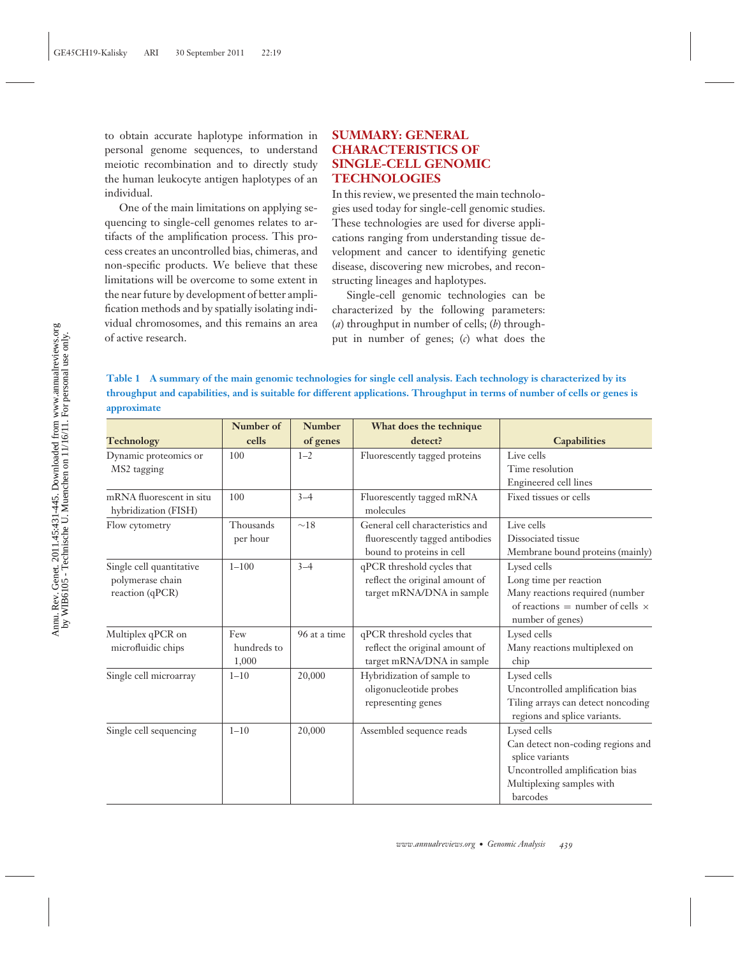to obtain accurate haplotype information in personal genome sequences, to understand meiotic recombination and to directly study the human leukocyte antigen haplotypes of an individual.

One of the main limitations on applying sequencing to single-cell genomes relates to artifacts of the amplification process. This process creates an uncontrolled bias, chimeras, and non-specific products. We believe that these limitations will be overcome to some extent in the near future by development of better amplification methods and by spatially isolating individual chromosomes, and this remains an area of active research.

#### **SUMMARY: GENERAL CHARACTERISTICS OF SINGLE-CELL GENOMIC TECHNOLOGIES**

In this review, we presented the main technologies used today for single-cell genomic studies. These technologies are used for diverse applications ranging from understanding tissue development and cancer to identifying genetic disease, discovering new microbes, and reconstructing lineages and haplotypes.

Single-cell genomic technologies can be characterized by the following parameters: (*a*) throughput in number of cells; (*b*) throughput in number of genes; (*c*) what does the

**Table 1 A summary of the main genomic technologies for single cell analysis. Each technology is characterized by its throughput and capabilities, and is suitable for different applications. Throughput in terms of number of cells or genes is approximate**

| <b>Technology</b>                                               | Number of<br>cells          | <b>Number</b><br>of genes | What does the technique<br>detect?                                                               | <b>Capabilities</b>                                                                                                                             |
|-----------------------------------------------------------------|-----------------------------|---------------------------|--------------------------------------------------------------------------------------------------|-------------------------------------------------------------------------------------------------------------------------------------------------|
|                                                                 |                             |                           |                                                                                                  |                                                                                                                                                 |
| mRNA fluorescent in situ<br>hybridization (FISH)                | 100                         | $3 - 4$                   | Fluorescently tagged mRNA<br>molecules                                                           | Fixed tissues or cells                                                                                                                          |
| Flow cytometry                                                  | Thousands<br>per hour       | $\sim$ 18                 | General cell characteristics and<br>fluorescently tagged antibodies<br>bound to proteins in cell | Live cells<br>Dissociated tissue<br>Membrane bound proteins (mainly)                                                                            |
| Single cell quantitative<br>polymerase chain<br>reaction (qPCR) | $1 - 100$                   | $3 - 4$                   | qPCR threshold cycles that<br>reflect the original amount of<br>target mRNA/DNA in sample        | Lysed cells<br>Long time per reaction<br>Many reactions required (number<br>of reactions = number of cells $\times$<br>number of genes)         |
| Multiplex qPCR on<br>microfluidic chips                         | Few<br>hundreds to<br>1,000 | 96 at a time              | qPCR threshold cycles that<br>reflect the original amount of<br>target mRNA/DNA in sample        | Lysed cells<br>Many reactions multiplexed on<br>chip                                                                                            |
| Single cell microarray                                          | $1 - 10$                    | 20,000                    | Hybridization of sample to<br>oligonucleotide probes<br>representing genes                       | Lysed cells<br>Uncontrolled amplification bias<br>Tiling arrays can detect noncoding<br>regions and splice variants.                            |
| Single cell sequencing                                          | $1 - 10$                    | 20,000                    | Assembled sequence reads                                                                         | Lysed cells<br>Can detect non-coding regions and<br>splice variants<br>Uncontrolled amplification bias<br>Multiplexing samples with<br>barcodes |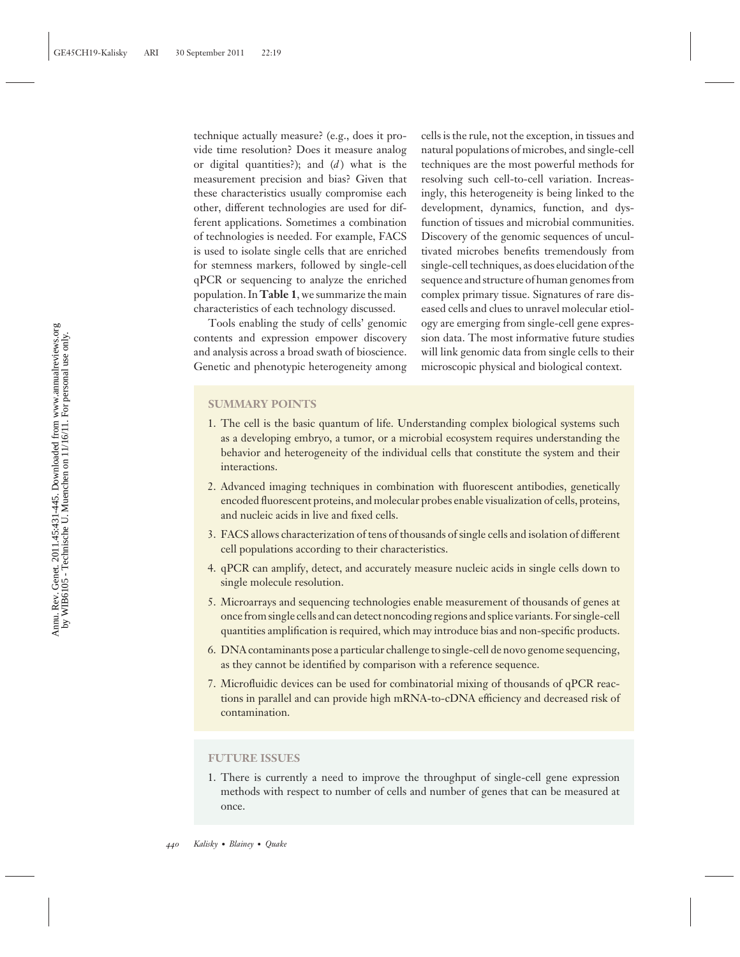technique actually measure? (e.g., does it provide time resolution? Does it measure analog or digital quantities?); and  $(d)$  what is the measurement precision and bias? Given that these characteristics usually compromise each other, different technologies are used for different applications. Sometimes a combination of technologies is needed. For example, FACS is used to isolate single cells that are enriched for stemness markers, followed by single-cell qPCR or sequencing to analyze the enriched population. In **Table 1**, we summarize the main characteristics of each technology discussed.

Tools enabling the study of cells' genomic contents and expression empower discovery and analysis across a broad swath of bioscience. Genetic and phenotypic heterogeneity among cells is the rule, not the exception, in tissues and natural populations of microbes, and single-cell techniques are the most powerful methods for resolving such cell-to-cell variation. Increasingly, this heterogeneity is being linked to the development, dynamics, function, and dysfunction of tissues and microbial communities. Discovery of the genomic sequences of uncultivated microbes benefits tremendously from single-cell techniques, as does elucidation of the sequence and structure of human genomes from complex primary tissue. Signatures of rare diseased cells and clues to unravel molecular etiology are emerging from single-cell gene expression data. The most informative future studies will link genomic data from single cells to their microscopic physical and biological context.

#### **SUMMARY POINTS**

- 1. The cell is the basic quantum of life. Understanding complex biological systems such as a developing embryo, a tumor, or a microbial ecosystem requires understanding the behavior and heterogeneity of the individual cells that constitute the system and their interactions.
- 2. Advanced imaging techniques in combination with fluorescent antibodies, genetically encoded fluorescent proteins, and molecular probes enable visualization of cells, proteins, and nucleic acids in live and fixed cells.
- 3. FACS allows characterization of tens of thousands of single cells and isolation of different cell populations according to their characteristics.
- 4. qPCR can amplify, detect, and accurately measure nucleic acids in single cells down to single molecule resolution.
- 5. Microarrays and sequencing technologies enable measurement of thousands of genes at once from single cells and can detect noncoding regions and splice variants. For single-cell quantities amplification is required, which may introduce bias and non-specific products.
- 6. DNA contaminants pose a particular challenge to single-cell de novo genome sequencing, as they cannot be identified by comparison with a reference sequence.
- 7. Microfluidic devices can be used for combinatorial mixing of thousands of qPCR reactions in parallel and can provide high mRNA-to-cDNA efficiency and decreased risk of contamination.

#### **FUTURE ISSUES**

1. There is currently a need to improve the throughput of single-cell gene expression methods with respect to number of cells and number of genes that can be measured at once.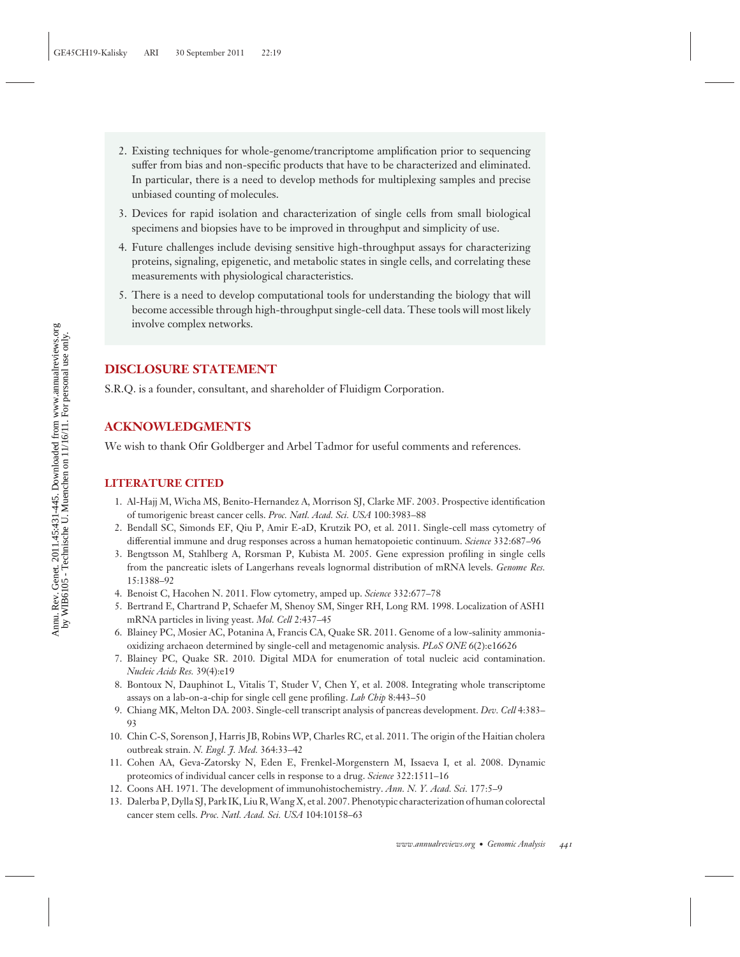- 2. Existing techniques for whole-genome/trancriptome amplification prior to sequencing suffer from bias and non-specific products that have to be characterized and eliminated. In particular, there is a need to develop methods for multiplexing samples and precise unbiased counting of molecules.
- 3. Devices for rapid isolation and characterization of single cells from small biological specimens and biopsies have to be improved in throughput and simplicity of use.
- 4. Future challenges include devising sensitive high-throughput assays for characterizing proteins, signaling, epigenetic, and metabolic states in single cells, and correlating these measurements with physiological characteristics.
- 5. There is a need to develop computational tools for understanding the biology that will become accessible through high-throughput single-cell data. These tools will most likely involve complex networks.

#### **DISCLOSURE STATEMENT**

S.R.Q. is a founder, consultant, and shareholder of Fluidigm Corporation.

#### **ACKNOWLEDGMENTS**

We wish to thank Ofir Goldberger and Arbel Tadmor for useful comments and references.

#### **LITERATURE CITED**

- 1. Al-Hajj M, Wicha MS, Benito-Hernandez A, Morrison SJ, Clarke MF. 2003. Prospective identification of tumorigenic breast cancer cells. *Proc. Natl. Acad. Sci. USA* 100:3983–88
- 2. Bendall SC, Simonds EF, Qiu P, Amir E-aD, Krutzik PO, et al. 2011. Single-cell mass cytometry of differential immune and drug responses across a human hematopoietic continuum. *Science* 332:687–96
- 3. Bengtsson M, Stahlberg A, Rorsman P, Kubista M. 2005. Gene expression profiling in single cells from the pancreatic islets of Langerhans reveals lognormal distribution of mRNA levels. *Genome Res.* 15:1388–92
- 4. Benoist C, Hacohen N. 2011. Flow cytometry, amped up. *Science* 332:677–78
- 5. Bertrand E, Chartrand P, Schaefer M, Shenoy SM, Singer RH, Long RM. 1998. Localization of ASH1 mRNA particles in living yeast. *Mol. Cell* 2:437–45
- 6. Blainey PC, Mosier AC, Potanina A, Francis CA, Quake SR. 2011. Genome of a low-salinity ammoniaoxidizing archaeon determined by single-cell and metagenomic analysis. *PLoS ONE* 6(2):e16626
- 7. Blainey PC, Quake SR. 2010. Digital MDA for enumeration of total nucleic acid contamination. *Nucleic Acids Res.* 39(4):e19
- 8. Bontoux N, Dauphinot L, Vitalis T, Studer V, Chen Y, et al. 2008. Integrating whole transcriptome assays on a lab-on-a-chip for single cell gene profiling. *Lab Chip* 8:443–50
- 9. Chiang MK, Melton DA. 2003. Single-cell transcript analysis of pancreas development. *Dev. Cell* 4:383– 03
- 10. Chin C-S, Sorenson J, Harris JB, Robins WP, Charles RC, et al. 2011. The origin of the Haitian cholera outbreak strain. *N. Engl. J. Med.* 364:33–42
- 11. Cohen AA, Geva-Zatorsky N, Eden E, Frenkel-Morgenstern M, Issaeva I, et al. 2008. Dynamic proteomics of individual cancer cells in response to a drug. *Science* 322:1511–16
- 12. Coons AH. 1971. The development of immunohistochemistry. *Ann. N. Y. Acad. Sci.* 177:5–9
- 13. Dalerba P, Dylla SJ, Park IK, Liu R,Wang X, et al. 2007. Phenotypic characterization of human colorectal cancer stem cells. *Proc. Natl. Acad. Sci. USA* 104:10158–63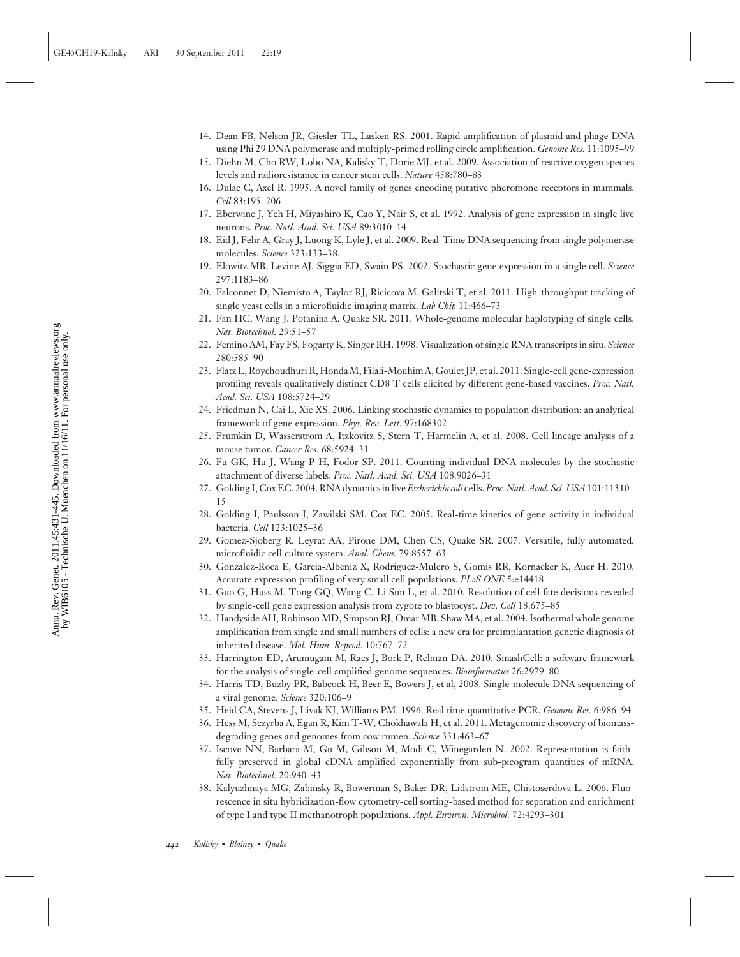- 14. Dean FB, Nelson JR, Giesler TL, Lasken RS. 2001. Rapid amplification of plasmid and phage DNA using Phi 29 DNA polymerase and multiply-primed rolling circle amplification. *Genome Res.* 11:1095–99
- 15. Diehn M, Cho RW, Lobo NA, Kalisky T, Dorie MJ, et al. 2009. Association of reactive oxygen species levels and radioresistance in cancer stem cells. *Nature* 458:780–83
- 16. Dulac C, Axel R. 1995. A novel family of genes encoding putative pheromone receptors in mammals. *Cell* 83:195–206
- 17. Eberwine J, Yeh H, Miyashiro K, Cao Y, Nair S, et al. 1992. Analysis of gene expression in single live neurons. *Proc. Natl. Acad. Sci. USA* 89:3010–14
- 18. Eid J, Fehr A, Gray J, Luong K, Lyle J, et al. 2009. Real-Time DNA sequencing from single polymerase molecules. *Science* 323:133–38.
- 19. Elowitz MB, Levine AJ, Siggia ED, Swain PS. 2002. Stochastic gene expression in a single cell. *Science* 297:1183–86
- 20. Falconnet D, Niemisto A, Taylor RJ, Ricicova M, Galitski T, et al. 2011. High-throughput tracking of single yeast cells in a microfluidic imaging matrix. *Lab Chip* 11:466–73
- 21. Fan HC, Wang J, Potanina A, Quake SR. 2011. Whole-genome molecular haplotyping of single cells. *Nat. Biotechnol.* 29:51–57
- 22. Femino AM, Fay FS, Fogarty K, Singer RH. 1998. Visualization of single RNA transcripts in situ. *Science* 280:585–90
- 23. Flatz L, Roychoudhuri R, Honda M, Filali-Mouhim A, Goulet JP, et al. 2011. Single-cell gene-expression profiling reveals qualitatively distinct CD8 T cells elicited by different gene-based vaccines. *Proc. Natl. Acad. Sci. USA* 108:5724–29
- 24. Friedman N, Cai L, Xie XS. 2006. Linking stochastic dynamics to population distribution: an analytical framework of gene expression. *Phys. Rev. Lett.* 97:168302
- 25. Frumkin D, Wasserstrom A, Itzkovitz S, Stern T, Harmelin A, et al. 2008. Cell lineage analysis of a mouse tumor. *Cancer Res.* 68:5924–31
- 26. Fu GK, Hu J, Wang P-H, Fodor SP. 2011. Counting individual DNA molecules by the stochastic attachment of diverse labels. *Proc. Natl. Acad. Sci. USA* 108:9026–31
- 27. Golding I, Cox EC. 2004. RNA dynamics in live *Escherichia coli* cells. *Proc. Natl. Acad. Sci. USA*101:11310– 15
- 28. Golding I, Paulsson J, Zawilski SM, Cox EC. 2005. Real-time kinetics of gene activity in individual bacteria. *Cell* 123:1025–36
- 29. Gomez-Sjoberg R, Leyrat AA, Pirone DM, Chen CS, Quake SR. 2007. Versatile, fully automated, microfluidic cell culture system. *Anal. Chem.* 79:8557–63
- 30. Gonzalez-Roca E, Garcia-Albeniz X, Rodriguez-Mulero S, Gomis RR, Kornacker K, Auer H. 2010. Accurate expression profiling of very small cell populations. *PLoS ONE* 5:e14418
- 31. Guo G, Huss M, Tong GQ, Wang C, Li Sun L, et al. 2010. Resolution of cell fate decisions revealed by single-cell gene expression analysis from zygote to blastocyst. *Dev. Cell* 18:675–85
- 32. Handyside AH, Robinson MD, Simpson RJ, Omar MB, Shaw MA, et al. 2004. Isothermal whole genome amplification from single and small numbers of cells: a new era for preimplantation genetic diagnosis of inherited disease. *Mol. Hum. Reprod.* 10:767–72
- 33. Harrington ED, Arumugam M, Raes J, Bork P, Relman DA. 2010. SmashCell: a software framework for the analysis of single-cell amplified genome sequences. *Bioinformatics* 26:2979–80
- 34. Harris TD, Buzby PR, Babcock H, Beer E, Bowers J, et al, 2008. Single-molecule DNA sequencing of a viral genome. *Science* 320:106–9
- 35. Heid CA, Stevens J, Livak KJ, Williams PM. 1996. Real time quantitative PCR. *Genome Res.* 6:986–94
- 36. Hess M, Sczyrba A, Egan R, Kim T-W, Chokhawala H, et al. 2011. Metagenomic discovery of biomassdegrading genes and genomes from cow rumen. *Science* 331:463–67
- 37. Iscove NN, Barbara M, Gu M, Gibson M, Modi C, Winegarden N. 2002. Representation is faithfully preserved in global cDNA amplified exponentially from sub-picogram quantities of mRNA. *Nat. Biotechnol.* 20:940–43
- 38. Kalyuzhnaya MG, Zabinsky R, Bowerman S, Baker DR, Lidstrom ME, Chistoserdova L. 2006. Fluorescence in situ hybridization-flow cytometry-cell sorting-based method for separation and enrichment of type I and type II methanotroph populations. *Appl. Environ. Microbiol.* 72:4293–301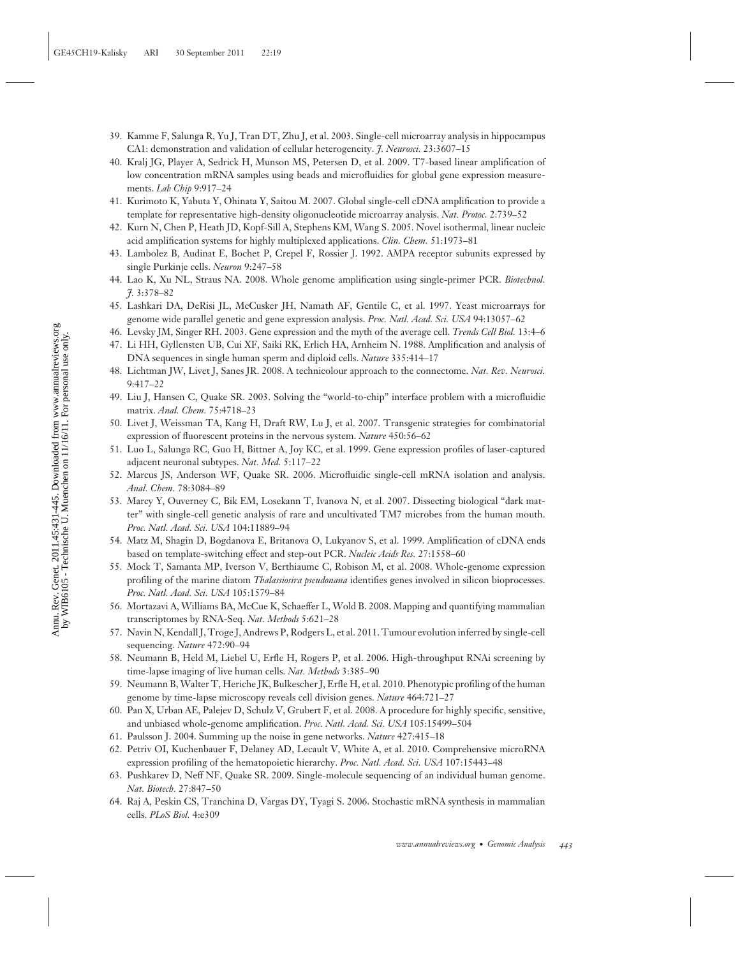- 39. Kamme F, Salunga R, Yu J, Tran DT, Zhu J, et al. 2003. Single-cell microarray analysis in hippocampus CA1: demonstration and validation of cellular heterogeneity. *J. Neurosci.* 23:3607–15
- 40. Kralj JG, Player A, Sedrick H, Munson MS, Petersen D, et al. 2009. T7-based linear amplification of low concentration mRNA samples using beads and microfluidics for global gene expression measurements. *Lab Chip* 9:917–24
- 41. Kurimoto K, Yabuta Y, Ohinata Y, Saitou M. 2007. Global single-cell cDNA amplification to provide a template for representative high-density oligonucleotide microarray analysis. *Nat. Protoc.* 2:739–52
- 42. Kurn N, Chen P, Heath JD, Kopf-Sill A, Stephens KM, Wang S. 2005. Novel isothermal, linear nucleic acid amplification systems for highly multiplexed applications. *Clin. Chem.* 51:1973–81
- 43. Lambolez B, Audinat E, Bochet P, Crepel F, Rossier J. 1992. AMPA receptor subunits expressed by single Purkinje cells. *Neuron* 9:247–58
- 44. Lao K, Xu NL, Straus NA. 2008. Whole genome amplification using single-primer PCR. *Biotechnol. J.* 3:378–82
- 45. Lashkari DA, DeRisi JL, McCusker JH, Namath AF, Gentile C, et al. 1997. Yeast microarrays for genome wide parallel genetic and gene expression analysis. *Proc. Natl. Acad. Sci. USA* 94:13057–62
- 46. Levsky JM, Singer RH. 2003. Gene expression and the myth of the average cell. *Trends Cell Biol.* 13:4–6
- 47. Li HH, Gyllensten UB, Cui XF, Saiki RK, Erlich HA, Arnheim N. 1988. Amplification and analysis of DNA sequences in single human sperm and diploid cells. *Nature* 335:414–17
- 48. Lichtman JW, Livet J, Sanes JR. 2008. A technicolour approach to the connectome. *Nat. Rev. Neurosci.* 9:417–22
- 49. Liu J, Hansen C, Quake SR. 2003. Solving the "world-to-chip" interface problem with a microfluidic matrix. *Anal. Chem.* 75:4718–23
- 50. Livet J, Weissman TA, Kang H, Draft RW, Lu J, et al. 2007. Transgenic strategies for combinatorial expression of fluorescent proteins in the nervous system. *Nature* 450:56–62
- 51. Luo L, Salunga RC, Guo H, Bittner A, Joy KC, et al. 1999. Gene expression profiles of laser-captured adjacent neuronal subtypes. *Nat. Med.* 5:117–22
- 52. Marcus JS, Anderson WF, Quake SR. 2006. Microfluidic single-cell mRNA isolation and analysis. *Anal. Chem.* 78:3084–89
- 53. Marcy Y, Ouverney C, Bik EM, Losekann T, Ivanova N, et al. 2007. Dissecting biological "dark matter" with single-cell genetic analysis of rare and uncultivated TM7 microbes from the human mouth. *Proc. Natl. Acad. Sci. USA* 104:11889–94
- 54. Matz M, Shagin D, Bogdanova E, Britanova O, Lukyanov S, et al. 1999. Amplification of cDNA ends based on template-switching effect and step-out PCR. *Nucleic Acids Res.* 27:1558–60
- 55. Mock T, Samanta MP, Iverson V, Berthiaume C, Robison M, et al. 2008. Whole-genome expression profiling of the marine diatom *Thalassiosira pseudonana* identifies genes involved in silicon bioprocesses. *Proc. Natl. Acad. Sci. USA* 105:1579–84
- 56. Mortazavi A, Williams BA, McCue K, Schaeffer L, Wold B. 2008. Mapping and quantifying mammalian transcriptomes by RNA-Seq. *Nat. Methods* 5:621–28
- 57. Navin N, Kendall J, Troge J, Andrews P, Rodgers L, et al. 2011. Tumour evolution inferred by single-cell sequencing. *Nature* 472:90–94
- 58. Neumann B, Held M, Liebel U, Erfle H, Rogers P, et al. 2006. High-throughput RNAi screening by time-lapse imaging of live human cells. *Nat. Methods* 3:385–90
- 59. Neumann B, Walter T, Heriche JK, Bulkescher J, Erfle H, et al. 2010. Phenotypic profiling of the human genome by time-lapse microscopy reveals cell division genes. *Nature* 464:721–27
- 60. Pan X, Urban AE, Palejev D, Schulz V, Grubert F, et al. 2008. A procedure for highly specific, sensitive, and unbiased whole-genome amplification. *Proc. Natl. Acad. Sci. USA* 105:15499–504
- 61. Paulsson J. 2004. Summing up the noise in gene networks. *Nature* 427:415–18
- 62. Petriv OI, Kuchenbauer F, Delaney AD, Lecault V, White A, et al. 2010. Comprehensive microRNA expression profiling of the hematopoietic hierarchy. *Proc. Natl. Acad. Sci. USA* 107:15443–48
- 63. Pushkarev D, Neff NF, Quake SR. 2009. Single-molecule sequencing of an individual human genome. *Nat. Biotech.* 27:847–50
- 64. Raj A, Peskin CS, Tranchina D, Vargas DY, Tyagi S. 2006. Stochastic mRNA synthesis in mammalian cells. *PLoS Biol.* 4:e309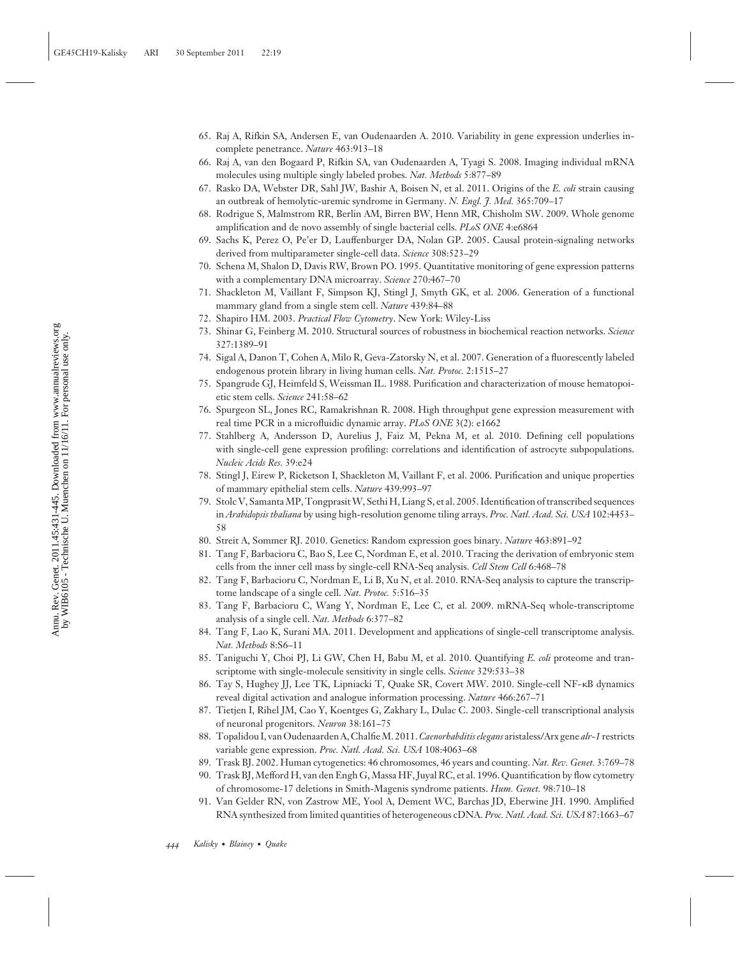- 65. Raj A, Rifkin SA, Andersen E, van Oudenaarden A. 2010. Variability in gene expression underlies incomplete penetrance. *Nature* 463:913–18
- 66. Raj A, van den Bogaard P, Rifkin SA, van Oudenaarden A, Tyagi S. 2008. Imaging individual mRNA molecules using multiple singly labeled probes. *Nat. Methods* 5:877–89
- 67. Rasko DA, Webster DR, Sahl JW, Bashir A, Boisen N, et al. 2011. Origins of the *E. coli* strain causing an outbreak of hemolytic-uremic syndrome in Germany. *N. Engl. J. Med.* 365:709–17
- 68. Rodrigue S, Malmstrom RR, Berlin AM, Birren BW, Henn MR, Chisholm SW. 2009. Whole genome amplification and de novo assembly of single bacterial cells. *PLoS ONE* 4:e6864
- 69. Sachs K, Perez O, Pe'er D, Lauffenburger DA, Nolan GP. 2005. Causal protein-signaling networks derived from multiparameter single-cell data. *Science* 308:523–29
- 70. Schena M, Shalon D, Davis RW, Brown PO. 1995. Quantitative monitoring of gene expression patterns with a complementary DNA microarray. *Science* 270:467–70
- 71. Shackleton M, Vaillant F, Simpson KJ, Stingl J, Smyth GK, et al. 2006. Generation of a functional mammary gland from a single stem cell. *Nature* 439:84–88
- 72. Shapiro HM. 2003. *Practical Flow Cytometry*. New York: Wiley-Liss
- 73. Shinar G, Feinberg M. 2010. Structural sources of robustness in biochemical reaction networks. *Science* 327:1389–91
- 74. Sigal A, Danon T, Cohen A, Milo R, Geva-Zatorsky N, et al. 2007. Generation of a fluorescently labeled endogenous protein library in living human cells. *Nat. Protoc.* 2:1515–27
- 75. Spangrude GJ, Heimfeld S, Weissman IL. 1988. Purification and characterization of mouse hematopoietic stem cells. *Science* 241:58–62
- 76. Spurgeon SL, Jones RC, Ramakrishnan R. 2008. High throughput gene expression measurement with real time PCR in a microfluidic dynamic array. *PLoS ONE* 3(2): e1662
- 77. Stahlberg A, Andersson D, Aurelius J, Faiz M, Pekna M, et al. 2010. Defining cell populations with single-cell gene expression profiling: correlations and identification of astrocyte subpopulations. *Nucleic Acids Res.* 39:e24
- 78. Stingl J, Eirew P, Ricketson I, Shackleton M, Vaillant F, et al. 2006. Purification and unique properties of mammary epithelial stem cells. *Nature* 439:993–97
- 79. Stolc V, SamantaMP, TongprasitW, Sethi H, Liang S, et al. 2005. Identification of transcribed sequences in *Arabidopsis thaliana* by using high-resolution genome tiling arrays. *Proc. Natl. Acad. Sci. USA* 102:4453– 58
- 80. Streit A, Sommer RJ. 2010. Genetics: Random expression goes binary. *Nature* 463:891–92
- 81. Tang F, Barbacioru C, Bao S, Lee C, Nordman E, et al. 2010. Tracing the derivation of embryonic stem cells from the inner cell mass by single-cell RNA-Seq analysis. *Cell Stem Cell* 6:468–78
- 82. Tang F, Barbacioru C, Nordman E, Li B, Xu N, et al. 2010. RNA-Seq analysis to capture the transcriptome landscape of a single cell. *Nat. Protoc.* 5:516–35
- 83. Tang F, Barbacioru C, Wang Y, Nordman E, Lee C, et al. 2009. mRNA-Seq whole-transcriptome analysis of a single cell. *Nat. Methods* 6:377–82
- 84. Tang F, Lao K, Surani MA. 2011. Development and applications of single-cell transcriptome analysis. *Nat. Methods* 8:S6–11
- 85. Taniguchi Y, Choi PJ, Li GW, Chen H, Babu M, et al. 2010. Quantifying *E. coli* proteome and transcriptome with single-molecule sensitivity in single cells. *Science* 329:533–38
- 86. Tay S, Hughey JJ, Lee TK, Lipniacki T, Quake SR, Covert MW. 2010. Single-cell NF-κB dynamics reveal digital activation and analogue information processing. *Nature* 466:267–71
- 87. Tietjen I, Rihel JM, Cao Y, Koentges G, Zakhary L, Dulac C. 2003. Single-cell transcriptional analysis of neuronal progenitors. *Neuron* 38:161–75
- 88. Topalidou I, van Oudenaarden A, ChalfieM. 2011.*Caenorhabditis elegans* aristaless/Arx gene *alr-1* restricts variable gene expression. *Proc. Natl. Acad. Sci. USA* 108:4063–68
- 89. Trask BJ. 2002. Human cytogenetics: 46 chromosomes, 46 years and counting. *Nat. Rev. Genet.* 3:769–78
- 90. Trask BJ, Mefford H, van den Engh G, Massa HF, Juyal RC, et al. 1996. Quantification by flow cytometry of chromosome-17 deletions in Smith-Magenis syndrome patients. *Hum. Genet.* 98:710–18
- 91. Van Gelder RN, von Zastrow ME, Yool A, Dement WC, Barchas JD, Eberwine JH. 1990. Amplified RNA synthesized from limited quantities of heterogeneous cDNA. *Proc. Natl. Acad. Sci. USA* 87:1663–67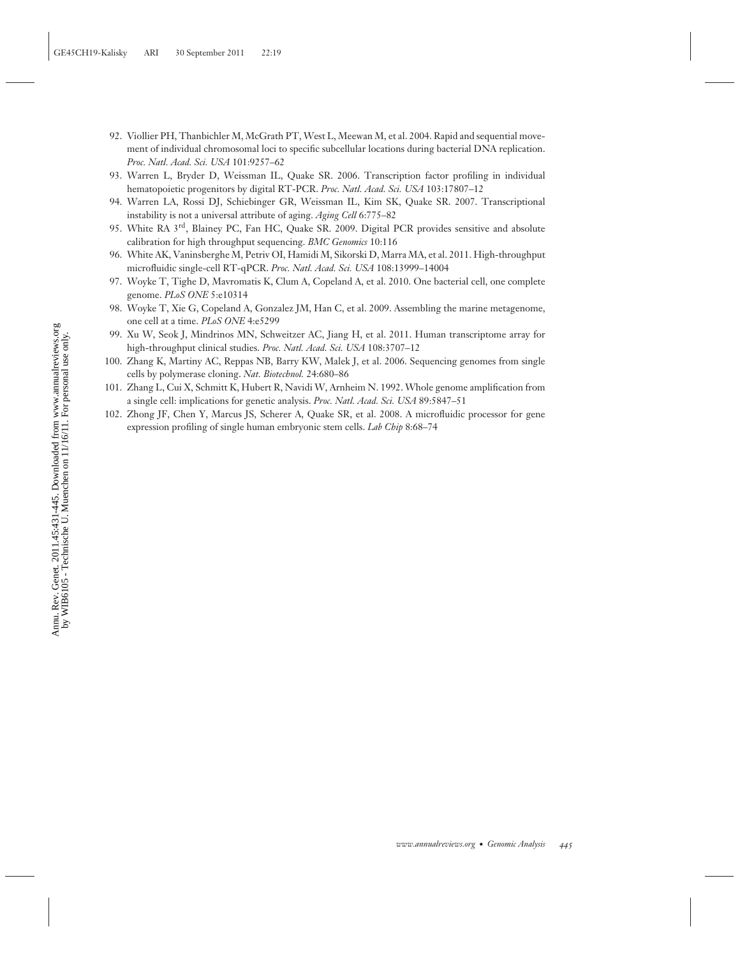- 92. Viollier PH, Thanbichler M, McGrath PT, West L, Meewan M, et al. 2004. Rapid and sequential movement of individual chromosomal loci to specific subcellular locations during bacterial DNA replication. *Proc. Natl. Acad. Sci. USA* 101:9257–62
- 93. Warren L, Bryder D, Weissman IL, Quake SR. 2006. Transcription factor profiling in individual hematopoietic progenitors by digital RT-PCR. *Proc. Natl. Acad. Sci. USA* 103:17807–12
- 94. Warren LA, Rossi DJ, Schiebinger GR, Weissman IL, Kim SK, Quake SR. 2007. Transcriptional instability is not a universal attribute of aging. *Aging Cell* 6:775–82
- 95. White RA 3rd, Blainey PC, Fan HC, Quake SR. 2009. Digital PCR provides sensitive and absolute calibration for high throughput sequencing. *BMC Genomics* 10:116
- 96. White AK, Vaninsberghe M, Petriv OI, Hamidi M, Sikorski D, Marra MA, et al. 2011. High-throughput microfluidic single-cell RT-qPCR. *Proc. Natl. Acad. Sci. USA* 108:13999–14004
- 97. Woyke T, Tighe D, Mavromatis K, Clum A, Copeland A, et al. 2010. One bacterial cell, one complete genome. *PLoS ONE* 5:e10314
- 98. Woyke T, Xie G, Copeland A, Gonzalez JM, Han C, et al. 2009. Assembling the marine metagenome, one cell at a time. *PLoS ONE* 4:e5299
- 99. Xu W, Seok J, Mindrinos MN, Schweitzer AC, Jiang H, et al. 2011. Human transcriptome array for high-throughput clinical studies. *Proc. Natl. Acad. Sci. USA* 108:3707–12
- 100. Zhang K, Martiny AC, Reppas NB, Barry KW, Malek J, et al. 2006. Sequencing genomes from single cells by polymerase cloning. *Nat. Biotechnol.* 24:680–86
- 101. Zhang L, Cui X, Schmitt K, Hubert R, Navidi W, Arnheim N. 1992. Whole genome amplification from a single cell: implications for genetic analysis. *Proc. Natl. Acad. Sci. USA* 89:5847–51
- 102. Zhong JF, Chen Y, Marcus JS, Scherer A, Quake SR, et al. 2008. A microfluidic processor for gene expression profiling of single human embryonic stem cells. *Lab Chip* 8:68–74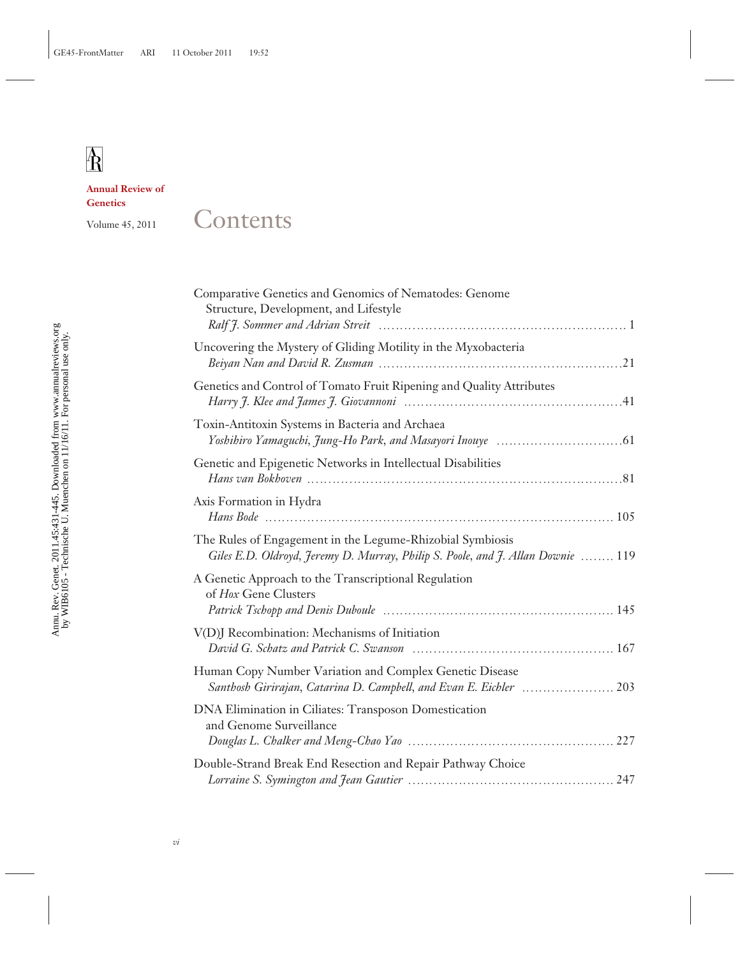# Volume 45, 2011 Contents

| Comparative Genetics and Genomics of Nematodes: Genome<br>Structure, Development, and Lifestyle                                              |
|----------------------------------------------------------------------------------------------------------------------------------------------|
| Uncovering the Mystery of Gliding Motility in the Myxobacteria                                                                               |
| Genetics and Control of Tomato Fruit Ripening and Quality Attributes                                                                         |
| Toxin-Antitoxin Systems in Bacteria and Archaea                                                                                              |
| Genetic and Epigenetic Networks in Intellectual Disabilities                                                                                 |
| Axis Formation in Hydra                                                                                                                      |
| The Rules of Engagement in the Legume-Rhizobial Symbiosis<br>Giles E.D. Oldroyd, Jeremy D. Murray, Philip S. Poole, and J. Allan Downie  119 |
| A Genetic Approach to the Transcriptional Regulation<br>of Hox Gene Clusters                                                                 |
| V(D)J Recombination: Mechanisms of Initiation                                                                                                |
| Human Copy Number Variation and Complex Genetic Disease<br>Santhosh Girirajan, Catarina D. Campbell, and Evan E. Eichler  203                |
| DNA Elimination in Ciliates: Transposon Domestication<br>and Genome Surveillance                                                             |
| Double-Strand Break End Resection and Repair Pathway Choice                                                                                  |